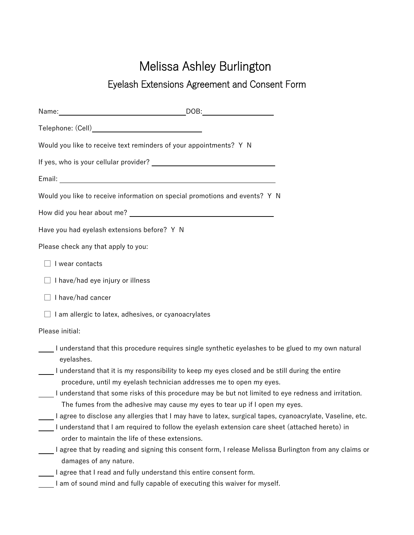## Melissa Ashley Burlington

## Eyelash Extensions Agreement and Consent Form

|                                                             | Would you like to receive text reminders of your appointments? Y N                                                                                                                                           |
|-------------------------------------------------------------|--------------------------------------------------------------------------------------------------------------------------------------------------------------------------------------------------------------|
|                                                             |                                                                                                                                                                                                              |
|                                                             |                                                                                                                                                                                                              |
|                                                             | Would you like to receive information on special promotions and events? Y N                                                                                                                                  |
|                                                             |                                                                                                                                                                                                              |
| Have you had eyelash extensions before? Y N                 |                                                                                                                                                                                                              |
| Please check any that apply to you:                         |                                                                                                                                                                                                              |
| I wear contacts                                             |                                                                                                                                                                                                              |
| I have/had eye injury or illness                            |                                                                                                                                                                                                              |
| $\Box$ I have/had cancer                                    |                                                                                                                                                                                                              |
| $\Box$ I am allergic to latex, adhesives, or cyanoacrylates |                                                                                                                                                                                                              |
| Please initial:                                             |                                                                                                                                                                                                              |
| eyelashes.                                                  | I understand that this procedure requires single synthetic eyelashes to be glued to my own natural                                                                                                           |
|                                                             | I understand that it is my responsibility to keep my eyes closed and be still during the entire<br>procedure, until my eyelash technician addresses me to open my eyes.                                      |
|                                                             | I understand that some risks of this procedure may be but not limited to eye redness and irritation.<br>The fumes from the adhesive may cause my eyes to tear up if I open my eyes.                          |
| order to maintain the life of these extensions.             | I agree to disclose any allergies that I may have to latex, surgical tapes, cyanoacrylate, Vaseline, etc.<br>I understand that I am required to follow the eyelash extension care sheet (attached hereto) in |
| damages of any nature.                                      | I agree that by reading and signing this consent form, I release Melissa Burlington from any claims or                                                                                                       |
|                                                             | I agree that I read and fully understand this entire consent form.                                                                                                                                           |
|                                                             | I am of sound mind and fully capable of executing this waiver for myself.                                                                                                                                    |